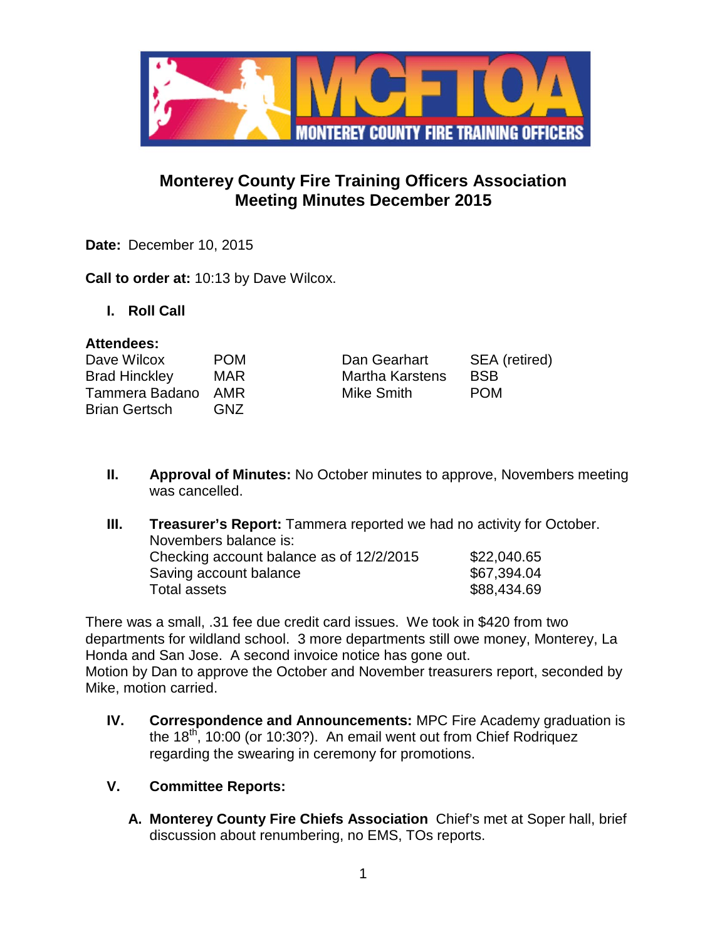

# **Monterey County Fire Training Officers Association Meeting Minutes December 2015**

**Date:** December 10, 2015

**Call to order at:** 10:13 by Dave Wilcox.

**I. Roll Call**

#### **Attendees:**

| Dave Wilcox          | <b>POM</b> | Dan Gearhart           | SEA (retired) |
|----------------------|------------|------------------------|---------------|
| <b>Brad Hinckley</b> | MAR        | <b>Martha Karstens</b> | <b>BSB</b>    |
| Tammera Badano AMR   |            | Mike Smith             | <b>POM</b>    |
| Brian Gertsch        | GNZ        |                        |               |

- **II. Approval of Minutes:** No October minutes to approve, Novembers meeting was cancelled.
- **III. Treasurer's Report:** Tammera reported we had no activity for October. Novembers balance is: Checking account balance as of  $12/2/2015$  \$22,040.65 Saving account balance \$67,394.04 Total assets \$88,434.69

There was a small, .31 fee due credit card issues. We took in \$420 from two departments for wildland school. 3 more departments still owe money, Monterey, La Honda and San Jose. A second invoice notice has gone out. Motion by Dan to approve the October and November treasurers report, seconded by Mike, motion carried.

- **IV. Correspondence and Announcements:** MPC Fire Academy graduation is the  $18<sup>th</sup>$ , 10:00 (or 10:30?). An email went out from Chief Rodriquez regarding the swearing in ceremony for promotions.
- **V. Committee Reports:**
	- **A. Monterey County Fire Chiefs Association** Chief's met at Soper hall, brief discussion about renumbering, no EMS, TOs reports.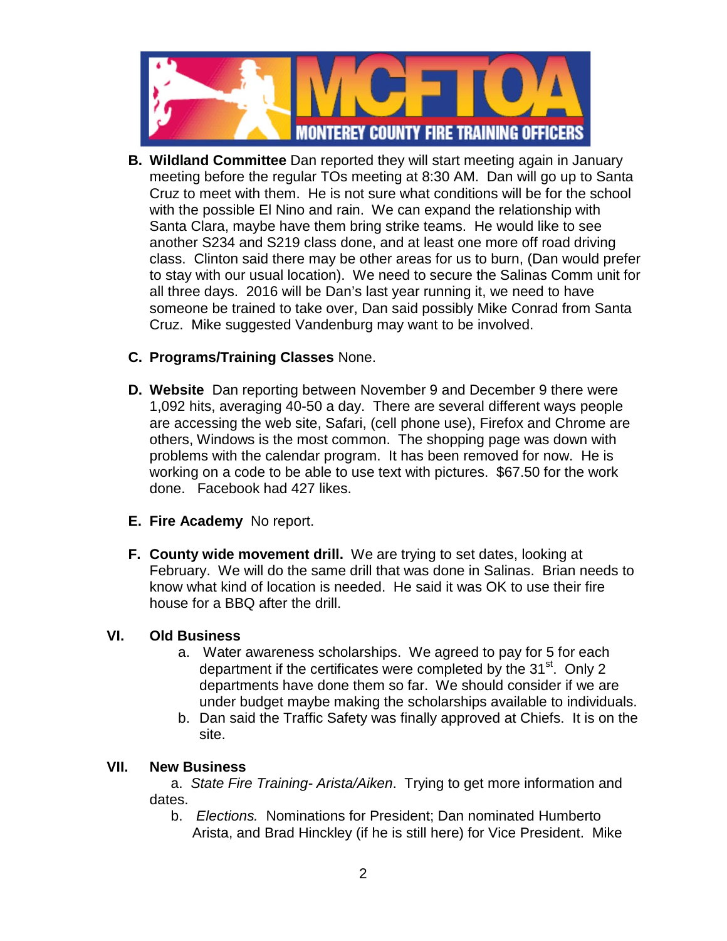

**B. Wildland Committee** Dan reported they will start meeting again in January meeting before the regular TOs meeting at 8:30 AM. Dan will go up to Santa Cruz to meet with them. He is not sure what conditions will be for the school with the possible El Nino and rain. We can expand the relationship with Santa Clara, maybe have them bring strike teams. He would like to see another S234 and S219 class done, and at least one more off road driving class. Clinton said there may be other areas for us to burn, (Dan would prefer to stay with our usual location). We need to secure the Salinas Comm unit for all three days. 2016 will be Dan's last year running it, we need to have someone be trained to take over, Dan said possibly Mike Conrad from Santa Cruz. Mike suggested Vandenburg may want to be involved.

## **C. Programs/Training Classes** None.

- **D. Website** Dan reporting between November 9 and December 9 there were 1,092 hits, averaging 40-50 a day. There are several different ways people are accessing the web site, Safari, (cell phone use), Firefox and Chrome are others, Windows is the most common. The shopping page was down with problems with the calendar program. It has been removed for now. He is working on a code to be able to use text with pictures. \$67.50 for the work done. Facebook had 427 likes.
- **E. Fire Academy** No report.
- **F. County wide movement drill.** We are trying to set dates, looking at February. We will do the same drill that was done in Salinas. Brian needs to know what kind of location is needed. He said it was OK to use their fire house for a BBQ after the drill.

#### **VI. Old Business**

- a. Water awareness scholarships. We agreed to pay for 5 for each department if the certificates were completed by the  $31<sup>st</sup>$ . Only 2 departments have done them so far. We should consider if we are under budget maybe making the scholarships available to individuals.
- b. Dan said the Traffic Safety was finally approved at Chiefs. It is on the site.

#### **VII. New Business**

a. *State Fire Training- Arista/Aiken*. Trying to get more information and dates.

b. *Elections.* Nominations for President; Dan nominated Humberto Arista, and Brad Hinckley (if he is still here) for Vice President. Mike